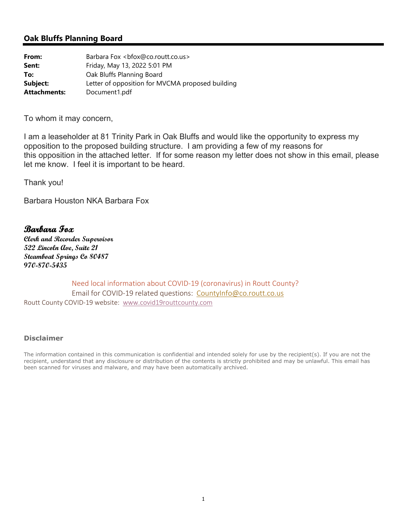## **Oak Bluffs Planning Board**

| From:               | Barbara Fox<br>bfox@co.routt.co.us>              |
|---------------------|--------------------------------------------------|
| Sent:               | Friday, May 13, 2022 5:01 PM                     |
| To:                 | Oak Bluffs Planning Board                        |
| Subject:            | Letter of opposition for MVCMA proposed building |
| <b>Attachments:</b> | Document1.pdf                                    |

To whom it may concern,

I am a leaseholder at 81 Trinity Park in Oak Bluffs and would like the opportunity to express my opposition to the proposed building structure. I am providing a few of my reasons for this opposition in the attached letter. If for some reason my letter does not show in this email, please let me know. I feel it is important to be heard.

Thank you!

Barbara Houston NKA Barbara Fox

## **Barbara Fox**

**Clerk and Recorder Supervisor 522 Lincoln Ave, Suite 21 Steamboat Springs Co 80487 970-870-5435**

Need local information about COVID‐19 (coronavirus) in Routt County? Email for COVID-19 related questions: CountyInfo@co.routt.co.us Routt County COVID‐19 website: www.covid19routtcounty.com

## **Disclaimer**

The information contained in this communication is confidential and intended solely for use by the recipient(s). If you are not the recipient, understand that any disclosure or distribution of the contents is strictly prohibited and may be unlawful. This email has been scanned for viruses and malware, and may have been automatically archived.